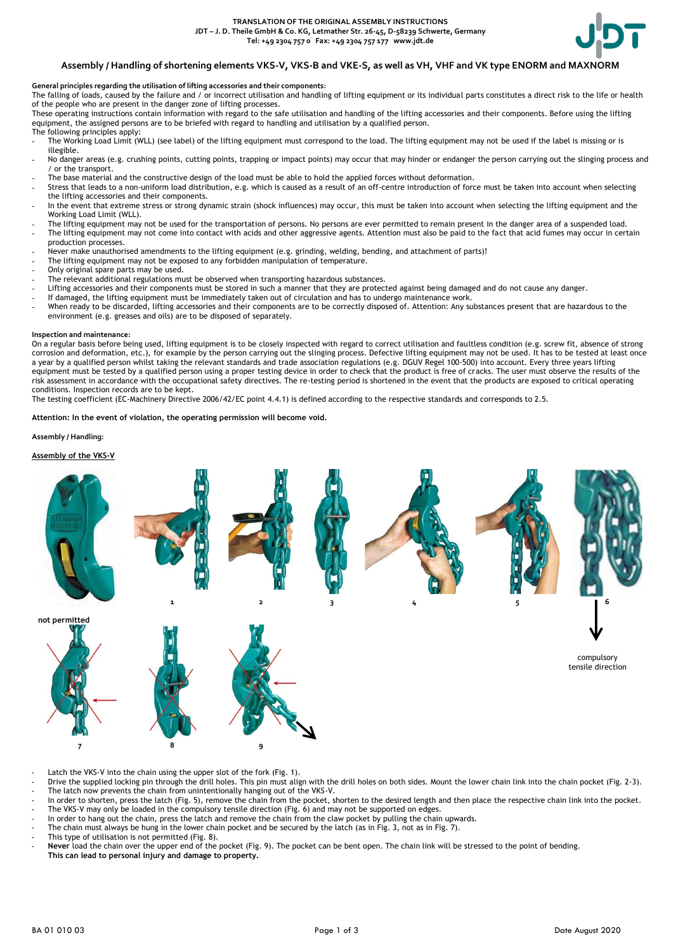

## **Assembly / Handling of shortening elements VKS-V, VKS-B and VKE-S, as well as VH, VHF and VK type ENORM and MAXNORM**

### **General principles regarding the utilisation of lifting accessories and their components:**

The falling of loads, caused by the failure and / or incorrect utilisation and handling of lifting equipment or its individual parts constitutes a direct risk to the life or health of the people who are present in the danger zone of lifting processes.

These operating instructions contain information with regard to the safe utilisation and handling of the lifting accessories and their components. Before using the lifting equipment, the assigned persons are to be briefed with regard to handling and utilisation by a qualified person.

The following principles apply:

- The Working Load Limit (WLL) (see label) of the lifting equipment must correspond to the load. The lifting equipment may not be used if the label is missing or is illegible.
- No danger areas (e.g. crushing points, cutting points, trapping or impact points) may occur that may hinder or endanger the person carrying out the slinging process and / or the transport.
- The base material and the constructive design of the load must be able to hold the applied forces without deformation.
- Stress that leads to a non-uniform load distribution, e.g. which is caused as a result of an off-centre introduction of force must be taken into account when selecting the lifting accessories and their components.
- In the event that extreme stress or strong dynamic strain (shock influences) may occur, this must be taken into account when selecting the lifting equipment and the Working Load Limit (WLL).
- The lifting equipment may not be used for the transportation of persons. No persons are ever permitted to remain present in the danger area of a suspended load. - The lifting equipment may not come into contact with acids and other aggressive agents. Attention must also be paid to the fact that acid fumes may occur in certain production processes.
- Never make unauthorised amendments to the lifting equipment (e.g. grinding, welding, bending, and attachment of parts)!
- The lifting equipment may not be exposed to any forbidden manipulation of temperature.
- Only original spare parts may be used.
- The relevant additional regulations must be observed when transporting hazardous substances.
- Lifting accessories and their components must be stored in such a manner that they are protected against being damaged and do not cause any danger.
- If damaged, the lifting equipment must be immediately taken out of circulation and has to undergo maintenance work.
- When ready to be discarded, lifting accessories and their components are to be correctly disposed of. Attention: Any substances present that are hazardous to the environment (e.g. greases and oils) are to be disposed of separately.

#### **Inspection and maintenance:**

On a regular basis before being used, lifting equipment is to be closely inspected with regard to correct utilisation and faultless condition (e.g. screw fit, absence of strong corrosion and deformation, etc.), for example by the person carrying out the slinging process. Defective lifting equipment may not be used. It has to be tested at least once a year by a qualified person whilst taking the relevant standards and trade association regulations (e.g. DGUV Regel 100-500) into account. Every three years lifting equipment must be tested by a qualified person using a proper testing device in order to check that the product is free of cracks. The user must observe the results of the risk assessment in accordance with the occupational safety directives. The re-testing period is shortened in the event that the products are exposed to critical operating conditions. Inspection records are to be kept.

The testing coefficient (EC-Machinery Directive 2006/42/EC point 4.4.1) is defined according to the respective standards and corresponds to 2.5.

**Attention: In the event of violation, the operating permission will become void.**

#### **Assembly / Handling:**

### **Assembly of the VKS-V**



Latch the VKS-V into the chain using the upper slot of the fork (Fig. 1).

Drive the supplied locking pin through the drill holes. This pin must align with the drill holes on both sides. Mount the lower chain link into the chain pocket (Fig. 2-3). - The latch now prevents the chain from unintentionally hanging out of the VKS-V.

- In order to shorten, press the latch (Fig. 5), remove the chain from the pocket, shorten to the desired length and then place the respective chain link into the pocket. The VKS-V may only be loaded in the compulsory tensile direction (Fig. 6) and may not be supported on edges.

- In order to hang out the chain, press the latch and remove the chain from the claw pocket by pulling the chain upwards.
- The chain must always be hung in the lower chain pocket and be secured by the latch (as in Fig. 3, not as in Fig. 7).
- This type of utilisation is not permitted (Fig. 8).

- **Never** load the chain over the upper end of the pocket (Fig. 9). The pocket can be bent open. The chain link will be stressed to the point of bending. **This can lead to personal injury and damage to property.**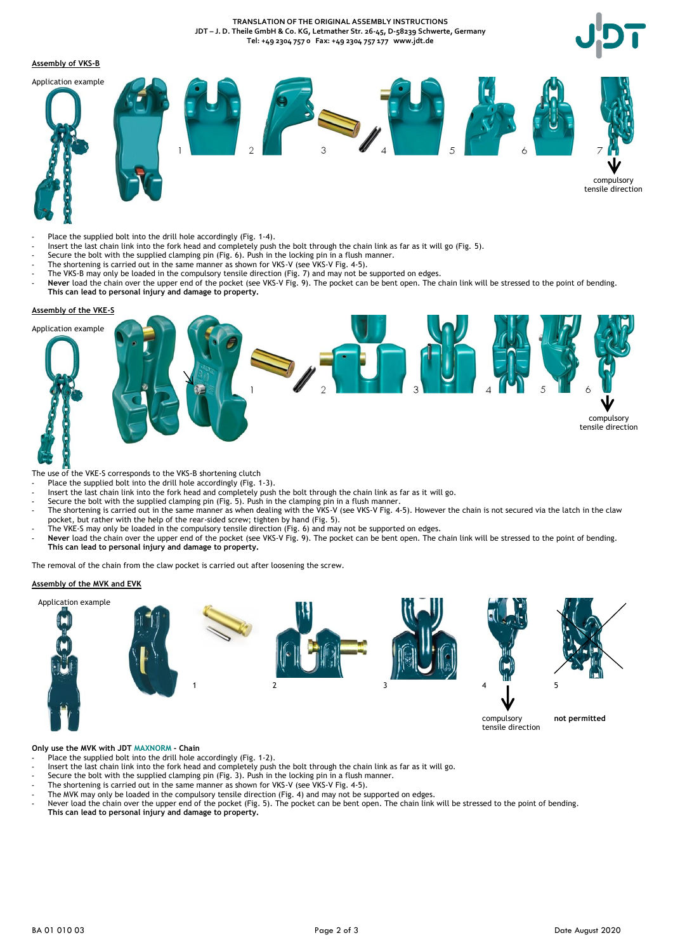**TRANSLATION OF THE ORIGINAL ASSEMBLY INSTRUCTIONS JDT – J. D. Theile GmbH & Co. KG, Letmather Str. 26-45, D-58239 Schwerte, Germany Tel: +49 2304 757 0 Fax: +49 2304 757 177 www.jdt.de**

### **Assembly of VKS-B**



- Place the supplied bolt into the drill hole accordingly (Fig. 1-4).
- Insert the last chain link into the fork head and completely push the bolt through the chain link as far as it will go (Fig. 5).
- Secure the bolt with the supplied clamping pin (Fig. 6). Push in the locking pin in a flush manner.
- The shortening is carried out in the same manner as shown for VKS-V (see VKS-V Fig. 4-5).
- The VKS-B may only be loaded in the compulsory tensile direction (Fig. 7) and may not be supported on edges. - **Never** load the chain over the upper end of the pocket (see VKS-V Fig. 9). The pocket can be bent open. The chain link will be stressed to the point of bending. **This can lead to personal injury and damage to property.**

# **Assembly of the VKE-S**



- The use of the VKE-S corresponds to the VKS-B shortening clutch
- Place the supplied bolt into the drill hole accordingly (Fig. 1-3).
- Insert the last chain link into the fork head and completely push the bolt through the chain link as far as it will go.
- Secure the bolt with the supplied clamping pin (Fig. 5). Push in the clamping pin in a flush manner.
- The shortening is carried out in the same manner as when dealing with the VKS-V (see VKS-V Fig. 4-5). However the chain is not secured via the latch in the claw pocket, but rather with the help of the rear-sided screw; tighten by hand (Fig. 5).
- The VKE-S may only be loaded in the compulsory tensile direction (Fig. 6) and may not be supported on edges.
- Never load the chain over the upper end of the pocket (see VKS-V Fig. 9). The pocket can be bent open. The chain link will be stressed to the point of bending. **This can lead to personal injury and damage to property.**

The removal of the chain from the claw pocket is carried out after loosening the screw.

### **Assembly of the MVK and EVK**



**Only use the MVK with JDT MAXNORM - Chain**

- Place the supplied bolt into the drill hole accordingly (Fig. 1-2).
- Insert the last chain link into the fork head and completely push the bolt through the chain link as far as it will go.
- Secure the bolt with the supplied clamping pin (Fig. 3). Push in the locking pin in a flush manner.
- The shortening is carried out in the same manner as shown for VKS-V (see VKS-V Fig. 4-5).
- The MVK may only be loaded in the compulsory tensile direction (Fig.  $4$ ) and may not be supported on edges.
- Never load the chain over the upper end of the pocket (Fig. 5). The pocket can be bent open. The chain link will be stressed to the point of bending. **This can lead to personal injury and damage to property.**